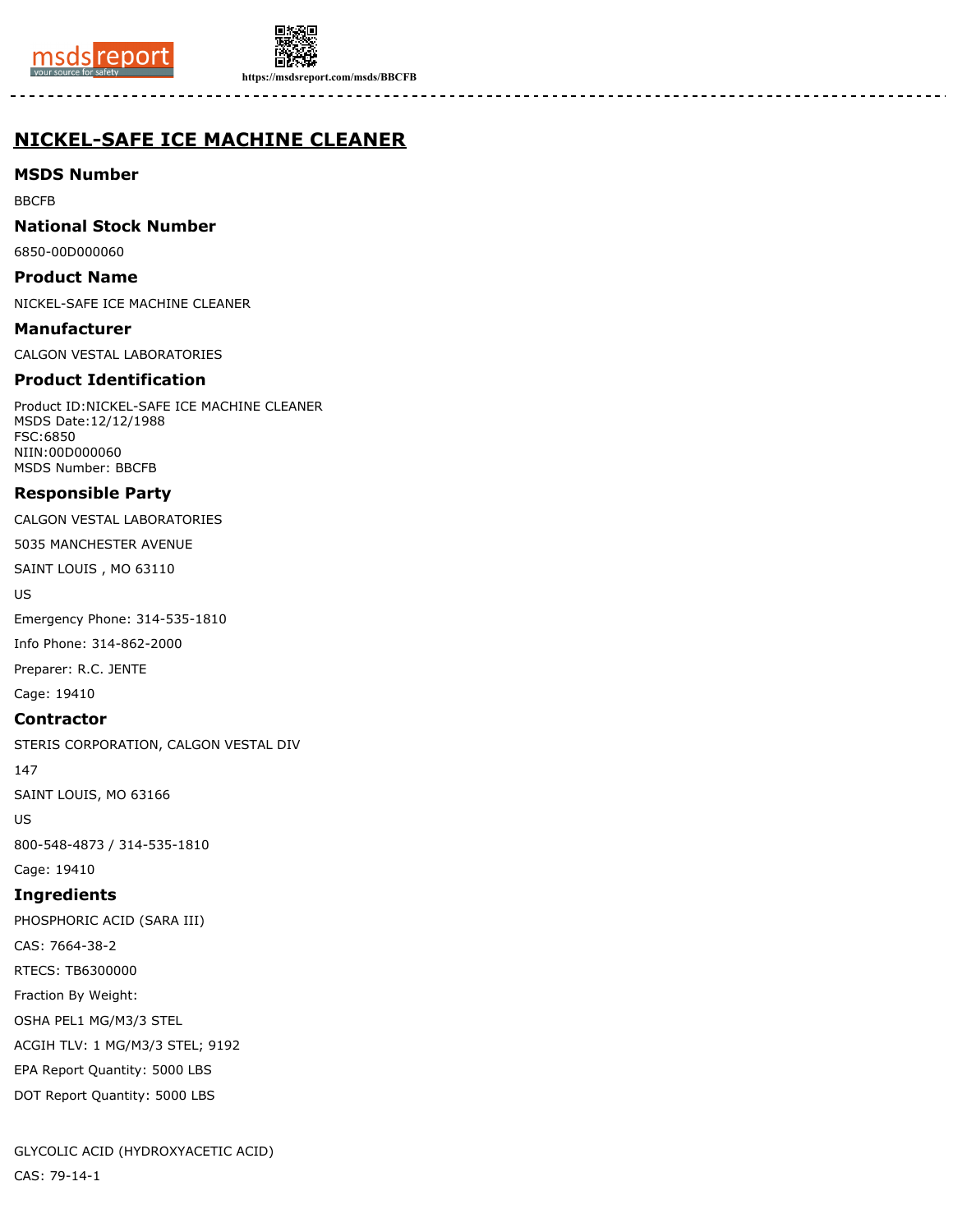



**https://msdsreport.com/msds/BBCFB**

# **NICKEL-SAFE ICE MACHINE CLEANER**

**MSDS Number**

BBCFB

**National Stock Number**

6850-00D000060

**Product Name**

NICKEL-SAFE ICE MACHINE CLEANER

**Manufacturer** CALGON VESTAL LABORATORIES

## **Product Identification**

Product ID:NICKEL-SAFE ICE MACHINE CLEANER MSDS Date:12/12/1988 FSC:6850 NIIN:00D000060 MSDS Number: BBCFB

## **Responsible Party**

CALGON VESTAL LABORATORIES

5035 MANCHESTER AVENUE

SAINT LOUIS , MO 63110

US

Emergency Phone: 314-535-1810

Info Phone: 314-862-2000

Preparer: R.C. JENTE

Cage: 19410

## **Contractor**

STERIS CORPORATION, CALGON VESTAL DIV

147

SAINT LOUIS, MO 63166

US

800-548-4873 / 314-535-1810

Cage: 19410

## **Ingredients**

PHOSPHORIC ACID (SARA III) CAS: 7664-38-2 RTECS: TB6300000 Fraction By Weight: OSHA PEL1 MG/M3/3 STEL ACGIH TLV: 1 MG/M3/3 STEL; 9192 EPA Report Quantity: 5000 LBS DOT Report Quantity: 5000 LBS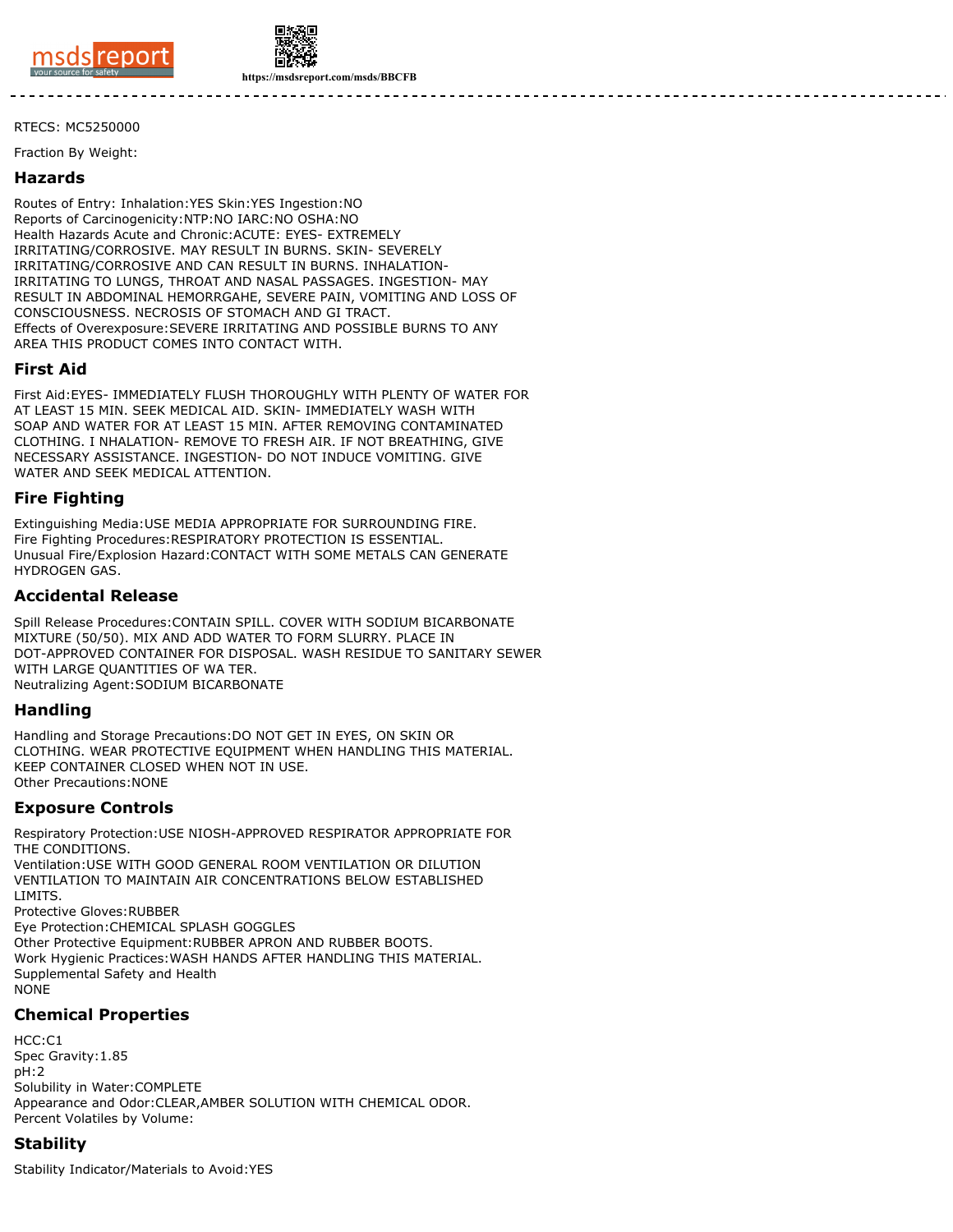



RTECS: MC5250000

Fraction By Weight:

#### **Hazards**

Routes of Entry: Inhalation:YES Skin:YES Ingestion:NO Reports of Carcinogenicity:NTP:NO IARC:NO OSHA:NO Health Hazards Acute and Chronic:ACUTE: EYES- EXTREMELY IRRITATING/CORROSIVE. MAY RESULT IN BURNS. SKIN- SEVERELY IRRITATING/CORROSIVE AND CAN RESULT IN BURNS. INHALATION-IRRITATING TO LUNGS, THROAT AND NASAL PASSAGES. INGESTION- MAY RESULT IN ABDOMINAL HEMORRGAHE, SEVERE PAIN, VOMITING AND LOSS OF CONSCIOUSNESS. NECROSIS OF STOMACH AND GI TRACT. Effects of Overexposure:SEVERE IRRITATING AND POSSIBLE BURNS TO ANY AREA THIS PRODUCT COMES INTO CONTACT WITH.

#### **First Aid**

First Aid:EYES- IMMEDIATELY FLUSH THOROUGHLY WITH PLENTY OF WATER FOR AT LEAST 15 MIN. SEEK MEDICAL AID. SKIN- IMMEDIATELY WASH WITH SOAP AND WATER FOR AT LEAST 15 MIN. AFTER REMOVING CONTAMINATED CLOTHING. I NHALATION- REMOVE TO FRESH AIR. IF NOT BREATHING, GIVE NECESSARY ASSISTANCE. INGESTION- DO NOT INDUCE VOMITING. GIVE WATER AND SEEK MEDICAL ATTENTION.

#### **Fire Fighting**

Extinguishing Media:USE MEDIA APPROPRIATE FOR SURROUNDING FIRE. Fire Fighting Procedures:RESPIRATORY PROTECTION IS ESSENTIAL. Unusual Fire/Explosion Hazard:CONTACT WITH SOME METALS CAN GENERATE HYDROGEN GAS.

#### **Accidental Release**

Spill Release Procedures:CONTAIN SPILL. COVER WITH SODIUM BICARBONATE MIXTURE (50/50). MIX AND ADD WATER TO FORM SLURRY. PLACE IN DOT-APPROVED CONTAINER FOR DISPOSAL. WASH RESIDUE TO SANITARY SEWER WITH LARGE QUANTITIES OF WA TER. Neutralizing Agent:SODIUM BICARBONATE

#### **Handling**

Handling and Storage Precautions:DO NOT GET IN EYES, ON SKIN OR CLOTHING. WEAR PROTECTIVE EQUIPMENT WHEN HANDLING THIS MATERIAL. KEEP CONTAINER CLOSED WHEN NOT IN USE. Other Precautions:NONE

#### **Exposure Controls**

Respiratory Protection:USE NIOSH-APPROVED RESPIRATOR APPROPRIATE FOR THE CONDITIONS. Ventilation:USE WITH GOOD GENERAL ROOM VENTILATION OR DILUTION VENTILATION TO MAINTAIN AIR CONCENTRATIONS BELOW ESTABLISHED LIMITS. Protective Gloves:RUBBER Eye Protection:CHEMICAL SPLASH GOGGLES Other Protective Equipment:RUBBER APRON AND RUBBER BOOTS. Work Hygienic Practices:WASH HANDS AFTER HANDLING THIS MATERIAL. Supplemental Safety and Health NONE

## **Chemical Properties**

 $HCC: C1$ Spec Gravity:1.85 pH:2 Solubility in Water:COMPLETE Appearance and Odor:CLEAR,AMBER SOLUTION WITH CHEMICAL ODOR. Percent Volatiles by Volume:

## **Stability**

Stability Indicator/Materials to Avoid:YES